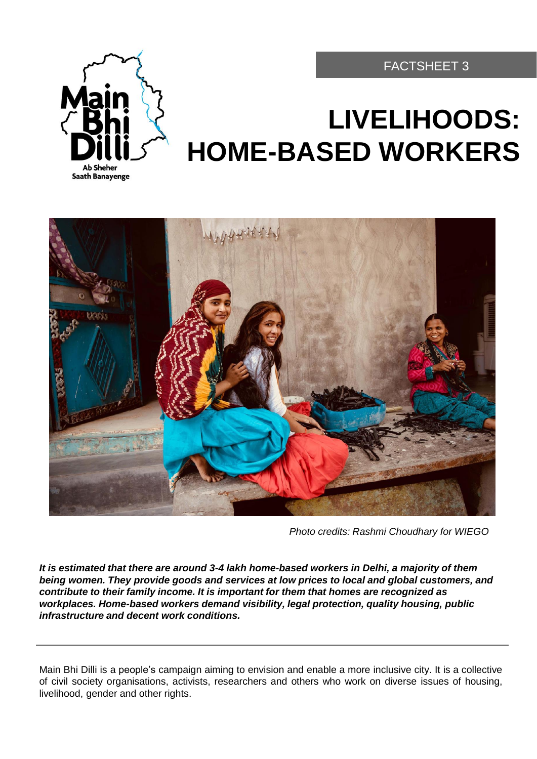

# **LIVELIHOODS: HOME-BASED WORKERS**

FACTSHEET 3



*Photo credits: Rashmi Choudhary for WIEGO*

*It is estimated that there are around 3-4 lakh home-based workers in Delhi, a majority of them being women. They provide goods and services at low prices to local and global customers, and contribute to their family income. It is important for them that homes are recognized as workplaces. Home-based workers demand visibility, legal protection, quality housing, public infrastructure and decent work conditions.*

Main Bhi Dilli is a people's campaign aiming to envision and enable a more inclusive city. It is a collective of civil society organisations, activists, researchers and others who work on diverse issues of housing, livelihood, gender and other rights.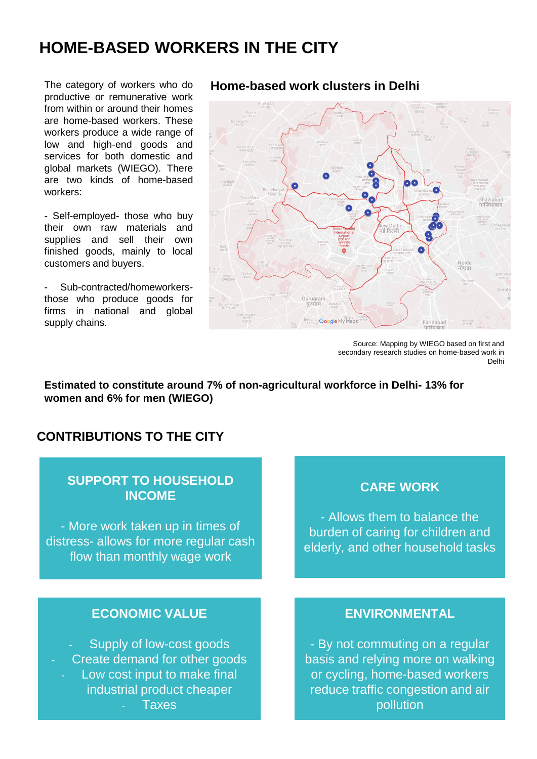# **HOME-BASED WORKERS IN THE CITY**

The category of workers who do productive or remunerative work from within or around their homes are home-based workers. These workers produce a wide range of low and high-end goods and services for both domestic and global markets (WIEGO). There are two kinds of home-based workers:

- Self-employed- those who buy their own raw materials and supplies and sell their own finished goods, mainly to local customers and buyers.

- Sub-contracted/homeworkersthose who produce goods for firms in national and global supply chains.

#### **Home-based work clusters in Delhi**



Source: Mapping by WIEGO based on first and secondary research studies on home-based work in Delhi

**Estimated to constitute around 7% of non-agricultural workforce in Delhi- 13% for women and 6% for men (WIEGO)**

# **CONTRIBUTIONS TO THE CITY**

## **SUPPORT TO HOUSEHOLD INCOME**

- More work taken up in times of distress- allows for more regular cash flow than monthly wage work

#### **ECONOMIC VALUE**

Supply of low-cost goods Create demand for other goods Low cost input to make final industrial product cheaper **Taxes** 

#### **CARE WORK**

- Allows them to balance the burden of caring for children and elderly, and other household tasks

#### **ENVIRONMENTAL**

- By not commuting on a regular basis and relying more on walking or cycling, home-based workers reduce traffic congestion and air pollution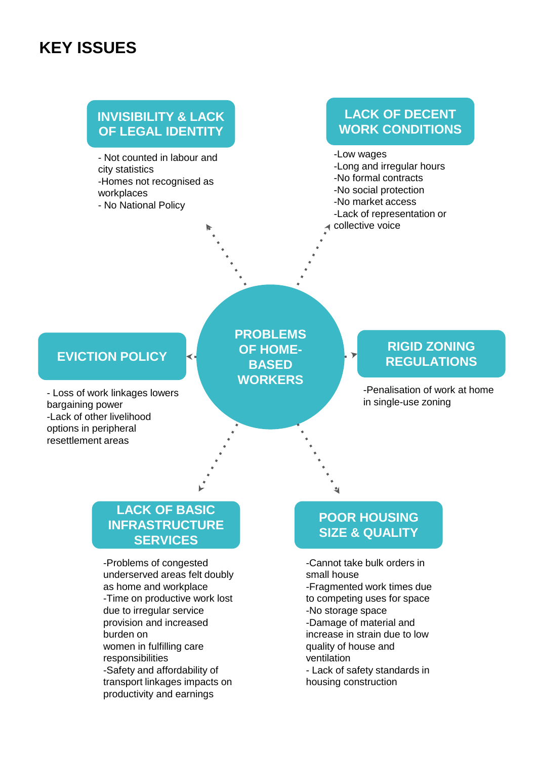# **KEY ISSUES**

# **INVISIBILITY & LACK OF LEGAL IDENTITY**

- Not counted in labour and city statistics -Homes not recognised as workplaces - No National Policy

# **LACK OF DECENT WORK CONDITIONS**

-Low wages -Long and irregular hours -No formal contracts -No social protection -No market access -Lack of representation or collective voice

# **EVICTION POLICY**

- Loss of work linkages lowers bargaining power -Lack of other livelihood options in peripheral resettlement areas

**PROBLEMS OF HOME-BASED WORKERS** 

### **RIGID ZONING REGULATIONS**

-Penalisation of work at home in single-use zoning

## **LACK OF BASIC INFRASTRUCTURE SERVICES**

-Problems of congested underserved areas felt doubly as home and workplace -Time on productive work lost due to irregular service provision and increased burden on women in fulfilling care responsibilities -Safety and affordability of transport linkages impacts on productivity and earnings

# **POOR HOUSING SIZE & QUALITY**

- -Cannot take bulk orders in small house
- -Fragmented work times due to competing uses for space
- -No storage space
- -Damage of material and increase in strain due to low quality of house and ventilation
- Lack of safety standards in housing construction